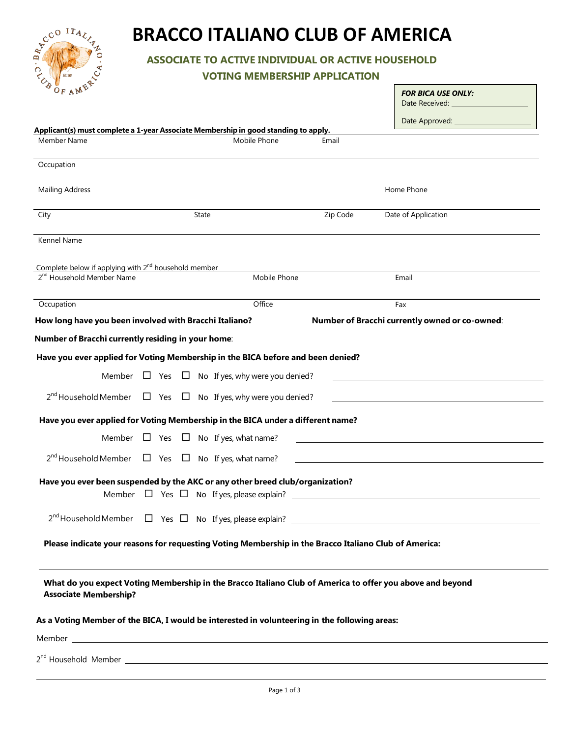

# **BRACCO ITALIANO CLUB OF AMERICA**

**ASSOCIATE TO ACTIVE INDIVIDUAL OR ACTIVE HOUSEHOLD** 

**VOTING MEMBERSHIP APPLICATION**

| $\sigma$ <sub>OF AM</sub> E                                                                                                                                                                                                          |       |  |  |                                                                             |          | <b>FOR BICA USE ONLY:</b><br>Date Received: National Property of the Received:                            |
|--------------------------------------------------------------------------------------------------------------------------------------------------------------------------------------------------------------------------------------|-------|--|--|-----------------------------------------------------------------------------|----------|-----------------------------------------------------------------------------------------------------------|
|                                                                                                                                                                                                                                      |       |  |  |                                                                             |          | Date Approved: 2000                                                                                       |
| Applicant(s) must complete a 1-year Associate Membership in good standing to apply.                                                                                                                                                  |       |  |  |                                                                             |          |                                                                                                           |
| Member Name                                                                                                                                                                                                                          |       |  |  | Mobile Phone                                                                | Email    |                                                                                                           |
| Occupation                                                                                                                                                                                                                           |       |  |  |                                                                             |          |                                                                                                           |
| <b>Mailing Address</b>                                                                                                                                                                                                               |       |  |  |                                                                             |          | Home Phone                                                                                                |
| City                                                                                                                                                                                                                                 | State |  |  |                                                                             | Zip Code | Date of Application                                                                                       |
| Kennel Name                                                                                                                                                                                                                          |       |  |  |                                                                             |          |                                                                                                           |
| Complete below if applying with 2 <sup>nd</sup> household member                                                                                                                                                                     |       |  |  |                                                                             |          |                                                                                                           |
| 2 <sup>nd</sup> Household Member Name                                                                                                                                                                                                |       |  |  | Mobile Phone                                                                |          | Email                                                                                                     |
| Occupation                                                                                                                                                                                                                           |       |  |  | Office                                                                      |          | Fax                                                                                                       |
| How long have you been involved with Bracchi Italiano?                                                                                                                                                                               |       |  |  |                                                                             |          | Number of Bracchi currently owned or co-owned:                                                            |
| Number of Bracchi currently residing in your home:                                                                                                                                                                                   |       |  |  |                                                                             |          |                                                                                                           |
| Have you ever applied for Voting Membership in the BICA before and been denied?                                                                                                                                                      |       |  |  |                                                                             |          |                                                                                                           |
|                                                                                                                                                                                                                                      |       |  |  | Member $\Box$ Yes $\Box$ No If yes, why were you denied?                    |          |                                                                                                           |
|                                                                                                                                                                                                                                      |       |  |  | $2^{nd}$ Household Member $\Box$ Yes $\Box$ No If yes, why were you denied? |          |                                                                                                           |
| Have you ever applied for Voting Membership in the BICA under a different name?                                                                                                                                                      |       |  |  |                                                                             |          |                                                                                                           |
|                                                                                                                                                                                                                                      |       |  |  | Member $\Box$ Yes $\Box$ No If yes, what name?                              |          |                                                                                                           |
| $2^{nd}$ Household Member $\Box$ Yes $\Box$ No If yes, what name?                                                                                                                                                                    |       |  |  |                                                                             |          |                                                                                                           |
| Have you ever been suspended by the AKC or any other breed club/organization?                                                                                                                                                        |       |  |  |                                                                             |          |                                                                                                           |
|                                                                                                                                                                                                                                      |       |  |  | Member $\Box$ Yes $\Box$ No If yes, please explain?                         |          |                                                                                                           |
|                                                                                                                                                                                                                                      |       |  |  |                                                                             |          |                                                                                                           |
| Please indicate your reasons for requesting Voting Membership in the Bracco Italiano Club of America:                                                                                                                                |       |  |  |                                                                             |          |                                                                                                           |
|                                                                                                                                                                                                                                      |       |  |  |                                                                             |          |                                                                                                           |
| <b>Associate Membership?</b>                                                                                                                                                                                                         |       |  |  |                                                                             |          | What do you expect Voting Membership in the Bracco Italiano Club of America to offer you above and beyond |
| As a Voting Member of the BICA, I would be interested in volunteering in the following areas:                                                                                                                                        |       |  |  |                                                                             |          |                                                                                                           |
| Member <b>Manual Community of the Community of the Community of the Community of the Community of the Community of the Community of the Community of the Community of the Community of the Community of the Community of the Com</b> |       |  |  |                                                                             |          |                                                                                                           |
|                                                                                                                                                                                                                                      |       |  |  |                                                                             |          |                                                                                                           |

2<sup>nd</sup> Household Member \_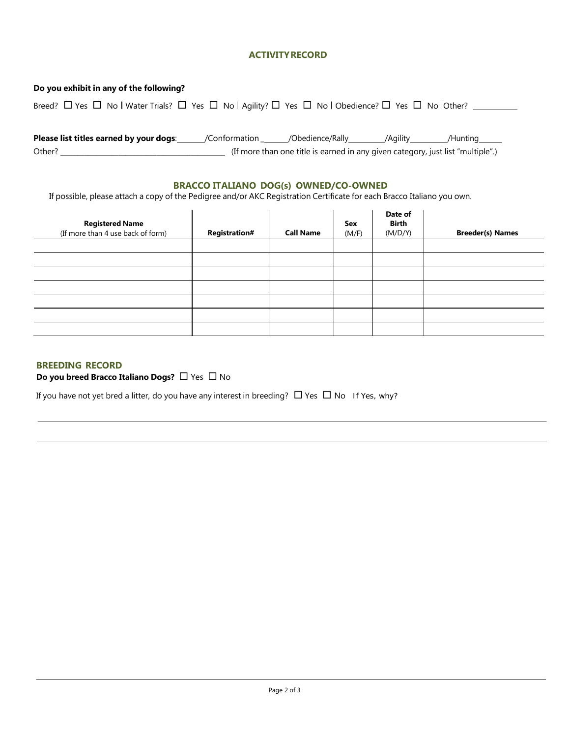## **ACTIVITYRECORD**

| Do you exhibit in any of the following?                                                                                                     |  |                                                                                 |  |          |  |
|---------------------------------------------------------------------------------------------------------------------------------------------|--|---------------------------------------------------------------------------------|--|----------|--|
| Breed? $\Box$ Yes $\Box$ No   Water Trials? $\Box$ Yes $\Box$ No   Agility? $\Box$ Yes $\Box$ No   Obedience? $\Box$ Yes $\Box$ No   Other? |  |                                                                                 |  |          |  |
|                                                                                                                                             |  |                                                                                 |  |          |  |
| Please list titles earned by your dogs:                                                                                                     |  | /Conformation _______/Obedience/Rally__________/Agility_________                |  | /Hunting |  |
| Other?                                                                                                                                      |  | (If more than one title is earned in any given category, just list "multiple".) |  |          |  |

## **BRACCO ITALIANO DOG(s) OWNED/CO-OWNED**

If possible, please attach a copy of the Pedigree and/or AKC Registration Certificate for each Bracco Italiano you own.

| <b>Registered Name</b><br>(If more than 4 use back of form) | <b>Registration#</b> | <b>Call Name</b> | Sex<br>(M/F) | Date of<br>Birth<br>(M/D/Y) | <b>Breeder(s) Names</b> |
|-------------------------------------------------------------|----------------------|------------------|--------------|-----------------------------|-------------------------|
|                                                             |                      |                  |              |                             |                         |
|                                                             |                      |                  |              |                             |                         |
|                                                             |                      |                  |              |                             |                         |
|                                                             |                      |                  |              |                             |                         |
|                                                             |                      |                  |              |                             |                         |
|                                                             |                      |                  |              |                             |                         |
|                                                             |                      |                  |              |                             |                         |

# **BREEDING RECORD**

**Do you breed Bracco Italiano Dogs?**  $\Box$  Yes  $\Box$  No

If you have not yet bred a litter, do you have any interest in breeding?  $\Box$  Yes  $\Box$  No If Yes, why?